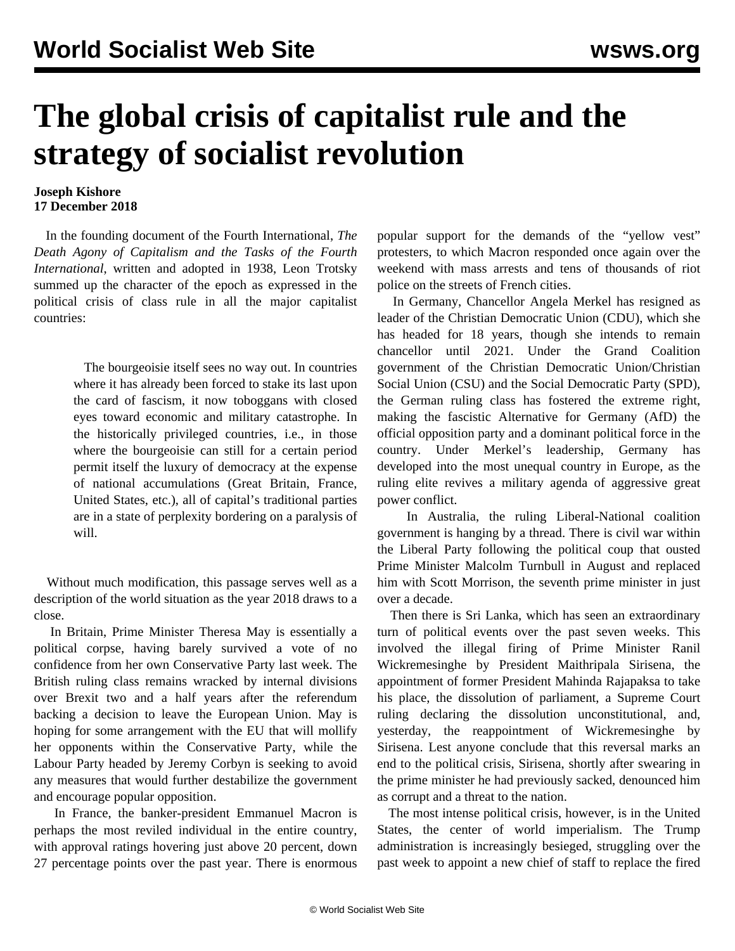## **The global crisis of capitalist rule and the strategy of socialist revolution**

## **Joseph Kishore 17 December 2018**

 In the founding document of the Fourth International, *The Death Agony of Capitalism and the Tasks of the Fourth International*, written and adopted in 1938, Leon Trotsky summed up the character of the epoch as expressed in the political crisis of class rule in all the major capitalist countries:

> The bourgeoisie itself sees no way out. In countries where it has already been forced to stake its last upon the card of fascism, it now toboggans with closed eyes toward economic and military catastrophe. In the historically privileged countries, i.e., in those where the bourgeoisie can still for a certain period permit itself the luxury of democracy at the expense of national accumulations (Great Britain, France, United States, etc.), all of capital's traditional parties are in a state of perplexity bordering on a paralysis of will.

 Without much modification, this passage serves well as a description of the world situation as the year 2018 draws to a close.

 In Britain, Prime Minister Theresa May is essentially a political corpse, having barely survived a vote of no confidence from her own Conservative Party last week. The British ruling class remains wracked by internal divisions over Brexit two and a half years after the referendum backing a decision to leave the European Union. May is hoping for some arrangement with the EU that will mollify her opponents within the Conservative Party, while the Labour Party headed by Jeremy Corbyn is seeking to avoid any measures that would further destabilize the government and encourage popular opposition.

 In France, the banker-president Emmanuel Macron is perhaps the most reviled individual in the entire country, with approval ratings hovering just above 20 percent, down 27 percentage points over the past year. There is enormous popular support for the demands of the "yellow vest" protesters, to which Macron responded once again over the weekend with mass arrests and tens of thousands of riot police on the streets of French cities.

 In Germany, Chancellor Angela Merkel has resigned as leader of the Christian Democratic Union (CDU), which she has headed for 18 years, though she intends to remain chancellor until 2021. Under the Grand Coalition government of the Christian Democratic Union/Christian Social Union (CSU) and the Social Democratic Party (SPD), the German ruling class has fostered the extreme right, making the fascistic Alternative for Germany (AfD) the official opposition party and a dominant political force in the country. Under Merkel's leadership, Germany has developed into the most unequal country in Europe, as the ruling elite revives a military agenda of aggressive great power conflict.

 In Australia, the ruling Liberal-National coalition government is hanging by a thread. There is civil war within the Liberal Party following the political coup that ousted Prime Minister Malcolm Turnbull in August and replaced him with Scott Morrison, the seventh prime minister in just over a decade.

 Then there is Sri Lanka, which has seen an extraordinary turn of political events over the past seven weeks. This involved the illegal firing of Prime Minister Ranil Wickremesinghe by President Maithripala Sirisena, the appointment of former President Mahinda Rajapaksa to take his place, the dissolution of parliament, a Supreme Court ruling declaring the dissolution unconstitutional, and, yesterday, the reappointment of Wickremesinghe by Sirisena. Lest anyone conclude that this reversal marks an end to the political crisis, Sirisena, shortly after swearing in the prime minister he had previously sacked, denounced him as corrupt and a threat to the nation.

 The most intense political crisis, however, is in the United States, the center of world imperialism. The Trump administration is increasingly besieged, struggling over the past week to appoint a new chief of staff to replace the fired